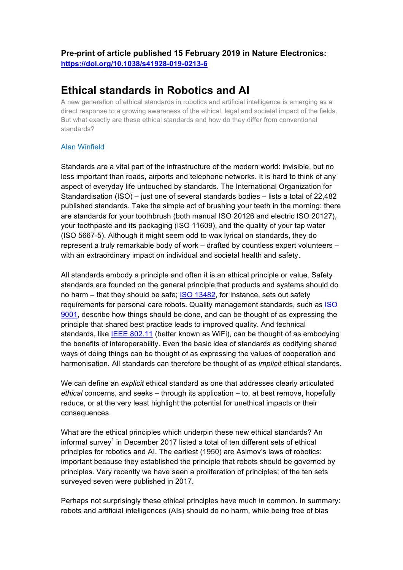# **Pre-print of article published 15 February 2019 in Nature Electronics: https://doi.org/10.1038/s41928-019-0213-6**

# **Ethical standards in Robotics and AI**

A new generation of ethical standards in robotics and artificial intelligence is emerging as a direct response to a growing awareness of the ethical, legal and societal impact of the fields. But what exactly are these ethical standards and how do they differ from conventional standards?

# Alan Winfield

Standards are a vital part of the infrastructure of the modern world: invisible, but no less important than roads, airports and telephone networks. It is hard to think of any aspect of everyday life untouched by standards. The International Organization for Standardisation (ISO) – just one of several standards bodies – lists a total of 22,482 published standards. Take the simple act of brushing your teeth in the morning: there are standards for your toothbrush (both manual ISO 20126 and electric ISO 20127), your toothpaste and its packaging (ISO 11609), and the quality of your tap water (ISO 5667-5). Although it might seem odd to wax lyrical on standards, they do represent a truly remarkable body of work – drafted by countless expert volunteers – with an extraordinary impact on individual and societal health and safety.

All standards embody a principle and often it is an ethical principle or value. Safety standards are founded on the general principle that products and systems should do no harm – that they should be safe; ISO 13482, for instance, sets out safety requirements for personal care robots. Quality management standards, such as ISO 9001, describe how things should be done, and can be thought of as expressing the principle that shared best practice leads to improved quality. And technical standards, like IEEE 802.11 (better known as WiFi), can be thought of as embodying the benefits of interoperability. Even the basic idea of standards as codifying shared ways of doing things can be thought of as expressing the values of cooperation and harmonisation. All standards can therefore be thought of as *implicit* ethical standards.

We can define an *explicit* ethical standard as one that addresses clearly articulated *ethical* concerns, and seeks – through its application – to, at best remove, hopefully reduce, or at the very least highlight the potential for unethical impacts or their consequences.

What are the ethical principles which underpin these new ethical standards? An informal survey<sup>1</sup> in December 2017 listed a total of ten different sets of ethical principles for robotics and AI. The earliest (1950) are Asimov's laws of robotics: important because they established the principle that robots should be governed by principles. Very recently we have seen a proliferation of principles; of the ten sets surveyed seven were published in 2017.

Perhaps not surprisingly these ethical principles have much in common. In summary: robots and artificial intelligences (AIs) should do no harm, while being free of bias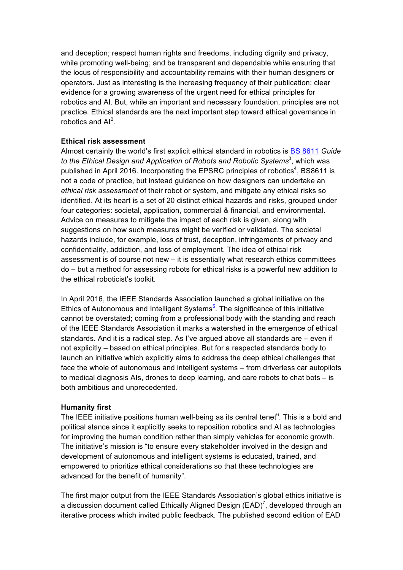and deception; respect human rights and freedoms, including dignity and privacy, while promoting well-being; and be transparent and dependable while ensuring that the locus of responsibility and accountability remains with their human designers or operators. Just as interesting is the increasing frequency of their publication: clear evidence for a growing awareness of the urgent need for ethical principles for robotics and AI. But, while an important and necessary foundation, principles are not practice. Ethical standards are the next important step toward ethical governance in robotics and  $Al<sup>2</sup>$ .

### **Ethical risk assessment**

Almost certainly the world's first explicit ethical standard in robotics is BS 8611 *Guide*  to the Ethical Design and Application of Robots and Robotic Systems<sup>3</sup>, which was published in April 2016. Incorporating the EPSRC principles of robotics<sup>4</sup>, BS8611 is not a code of practice, but instead guidance on how designers can undertake an *ethical risk assessment* of their robot or system, and mitigate any ethical risks so identified. At its heart is a set of 20 distinct ethical hazards and risks, grouped under four categories: societal, application, commercial & financial, and environmental. Advice on measures to mitigate the impact of each risk is given, along with suggestions on how such measures might be verified or validated. The societal hazards include, for example, loss of trust, deception, infringements of privacy and confidentiality, addiction, and loss of employment. The idea of ethical risk assessment is of course not new – it is essentially what research ethics committees do – but a method for assessing robots for ethical risks is a powerful new addition to the ethical roboticist's toolkit.

In April 2016, the IEEE Standards Association launched a global initiative on the Ethics of Autonomous and Intelligent Systems<sup>5</sup>. The significance of this initiative cannot be overstated; coming from a professional body with the standing and reach of the IEEE Standards Association it marks a watershed in the emergence of ethical standards. And it is a radical step. As I've argued above all standards are – even if not explicitly – based on ethical principles. But for a respected standards body to launch an initiative which explicitly aims to address the deep ethical challenges that face the whole of autonomous and intelligent systems – from driverless car autopilots to medical diagnosis AIs, drones to deep learning, and care robots to chat bots – is both ambitious and unprecedented.

## **Humanity first**

The IEEE initiative positions human well-being as its central tenet $6$ . This is a bold and political stance since it explicitly seeks to reposition robotics and AI as technologies for improving the human condition rather than simply vehicles for economic growth. The initiative's mission is "to ensure every stakeholder involved in the design and development of autonomous and intelligent systems is educated, trained, and empowered to prioritize ethical considerations so that these technologies are advanced for the benefit of humanity".

The first major output from the IEEE Standards Association's global ethics initiative is a discussion document called Ethically Aligned Design (EAD)<sup>7</sup>, developed through an iterative process which invited public feedback. The published second edition of EAD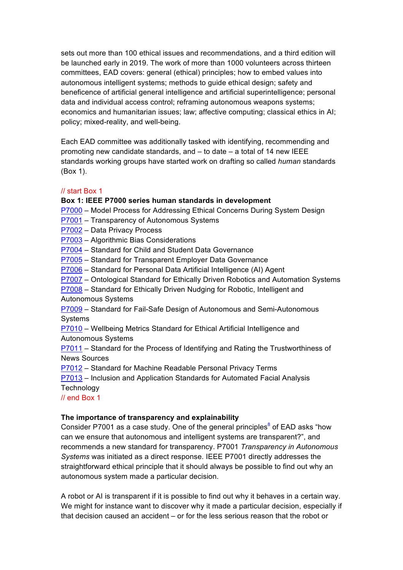sets out more than 100 ethical issues and recommendations, and a third edition will be launched early in 2019. The work of more than 1000 volunteers across thirteen committees, EAD covers: general (ethical) principles; how to embed values into autonomous intelligent systems; methods to guide ethical design; safety and beneficence of artificial general intelligence and artificial superintelligence; personal data and individual access control; reframing autonomous weapons systems; economics and humanitarian issues; law; affective computing; classical ethics in AI; policy; mixed-reality, and well-being.

Each EAD committee was additionally tasked with identifying, recommending and promoting new candidate standards, and – to date – a total of 14 new IEEE standards working groups have started work on drafting so called *human* standards (Box 1).

## // start Box 1

#### **Box 1: IEEE P7000 series human standards in development**

P7000 – Model Process for Addressing Ethical Concerns During System Design

- P7001 Transparency of Autonomous Systems
- P7002 Data Privacy Process
- P7003 Algorithmic Bias Considerations
- P7004 Standard for Child and Student Data Governance
- P7005 Standard for Transparent Employer Data Governance
- P7006 Standard for Personal Data Artificial Intelligence (AI) Agent
- P7007 Ontological Standard for Ethically Driven Robotics and Automation Systems
- P7008 Standard for Ethically Driven Nudging for Robotic, Intelligent and Autonomous Systems

P7009 – Standard for Fail-Safe Design of Autonomous and Semi-Autonomous Systems

P7010 – Wellbeing Metrics Standard for Ethical Artificial Intelligence and Autonomous Systems

P7011 – Standard for the Process of Identifying and Rating the Trustworthiness of News Sources

P7012 – Standard for Machine Readable Personal Privacy Terms

P7013 – Inclusion and Application Standards for Automated Facial Analysis **Technology** 

// end Box 1

#### **The importance of transparency and explainability**

Consider P7001 as a case study. One of the general principles<sup>8</sup> of EAD asks "how can we ensure that autonomous and intelligent systems are transparent?", and recommends a new standard for transparency. P7001 *Transparency in Autonomous Systems* was initiated as a direct response. IEEE P7001 directly addresses the straightforward ethical principle that it should always be possible to find out why an autonomous system made a particular decision.

A robot or AI is transparent if it is possible to find out why it behaves in a certain way. We might for instance want to discover why it made a particular decision, especially if that decision caused an accident – or for the less serious reason that the robot or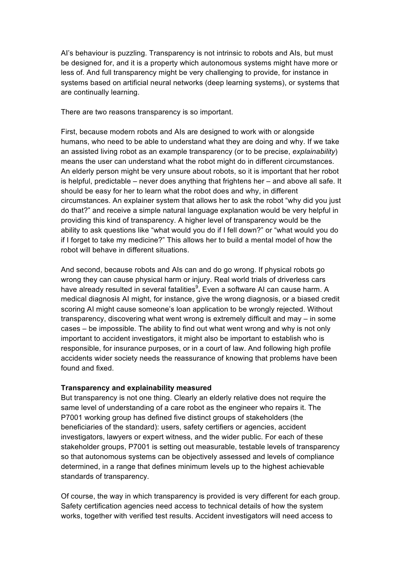AI's behaviour is puzzling. Transparency is not intrinsic to robots and AIs, but must be designed for, and it is a property which autonomous systems might have more or less of. And full transparency might be very challenging to provide, for instance in systems based on artificial neural networks (deep learning systems), or systems that are continually learning.

There are two reasons transparency is so important.

First, because modern robots and AIs are designed to work with or alongside humans, who need to be able to understand what they are doing and why. If we take an assisted living robot as an example transparency (or to be precise, *explainability*) means the user can understand what the robot might do in different circumstances. An elderly person might be very unsure about robots, so it is important that her robot is helpful, predictable – never does anything that frightens her – and above all safe. It should be easy for her to learn what the robot does and why, in different circumstances. An explainer system that allows her to ask the robot "why did you just do that?" and receive a simple natural language explanation would be very helpful in providing this kind of transparency. A higher level of transparency would be the ability to ask questions like "what would you do if I fell down?" or "what would you do if I forget to take my medicine?" This allows her to build a mental model of how the robot will behave in different situations.

And second, because robots and AIs can and do go wrong. If physical robots go wrong they can cause physical harm or injury. Real world trials of driverless cars have already resulted in several fatalities<sup>9</sup>. Even a software AI can cause harm. A medical diagnosis AI might, for instance, give the wrong diagnosis, or a biased credit scoring AI might cause someone's loan application to be wrongly rejected. Without transparency, discovering what went wrong is extremely difficult and may – in some cases – be impossible. The ability to find out what went wrong and why is not only important to accident investigators, it might also be important to establish who is responsible, for insurance purposes, or in a court of law. And following high profile accidents wider society needs the reassurance of knowing that problems have been found and fixed.

#### **Transparency and explainability measured**

But transparency is not one thing. Clearly an elderly relative does not require the same level of understanding of a care robot as the engineer who repairs it. The P7001 working group has defined five distinct groups of stakeholders (the beneficiaries of the standard): users, safety certifiers or agencies, accident investigators, lawyers or expert witness, and the wider public. For each of these stakeholder groups, P7001 is setting out measurable, testable levels of transparency so that autonomous systems can be objectively assessed and levels of compliance determined, in a range that defines minimum levels up to the highest achievable standards of transparency.

Of course, the way in which transparency is provided is very different for each group. Safety certification agencies need access to technical details of how the system works, together with verified test results. Accident investigators will need access to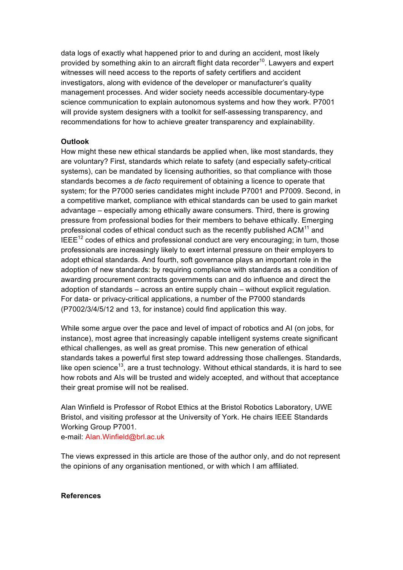data logs of exactly what happened prior to and during an accident, most likely provided by something akin to an aircraft flight data recorder<sup>10</sup>. Lawyers and expert witnesses will need access to the reports of safety certifiers and accident investigators, along with evidence of the developer or manufacturer's quality management processes. And wider society needs accessible documentary-type science communication to explain autonomous systems and how they work. P7001 will provide system designers with a toolkit for self-assessing transparency, and recommendations for how to achieve greater transparency and explainability.

### **Outlook**

How might these new ethical standards be applied when, like most standards, they are voluntary? First, standards which relate to safety (and especially safety-critical systems), can be mandated by licensing authorities, so that compliance with those standards becomes a *de facto* requirement of obtaining a licence to operate that system; for the P7000 series candidates might include P7001 and P7009. Second, in a competitive market, compliance with ethical standards can be used to gain market advantage – especially among ethically aware consumers. Third, there is growing pressure from professional bodies for their members to behave ethically. Emerging professional codes of ethical conduct such as the recently published  $ACM<sup>11</sup>$  and  $IEEE<sup>12</sup> codes of ethics and professional conduct are very encouraging; in turn, those$ professionals are increasingly likely to exert internal pressure on their employers to adopt ethical standards. And fourth, soft governance plays an important role in the adoption of new standards: by requiring compliance with standards as a condition of awarding procurement contracts governments can and do influence and direct the adoption of standards – across an entire supply chain – without explicit regulation. For data- or privacy-critical applications, a number of the P7000 standards (P7002/3/4/5/12 and 13, for instance) could find application this way.

While some argue over the pace and level of impact of robotics and AI (on jobs, for instance), most agree that increasingly capable intelligent systems create significant ethical challenges, as well as great promise. This new generation of ethical standards takes a powerful first step toward addressing those challenges. Standards, like open science<sup>13</sup>, are a trust technology. Without ethical standards, it is hard to see how robots and AIs will be trusted and widely accepted, and without that acceptance their great promise will not be realised.

Alan Winfield is Professor of Robot Ethics at the Bristol Robotics Laboratory, UWE Bristol, and visiting professor at the University of York. He chairs IEEE Standards Working Group P7001.

e-mail: Alan.Winfield@brl.ac.uk

The views expressed in this article are those of the author only, and do not represent the opinions of any organisation mentioned, or with which I am affiliated.

#### **References**